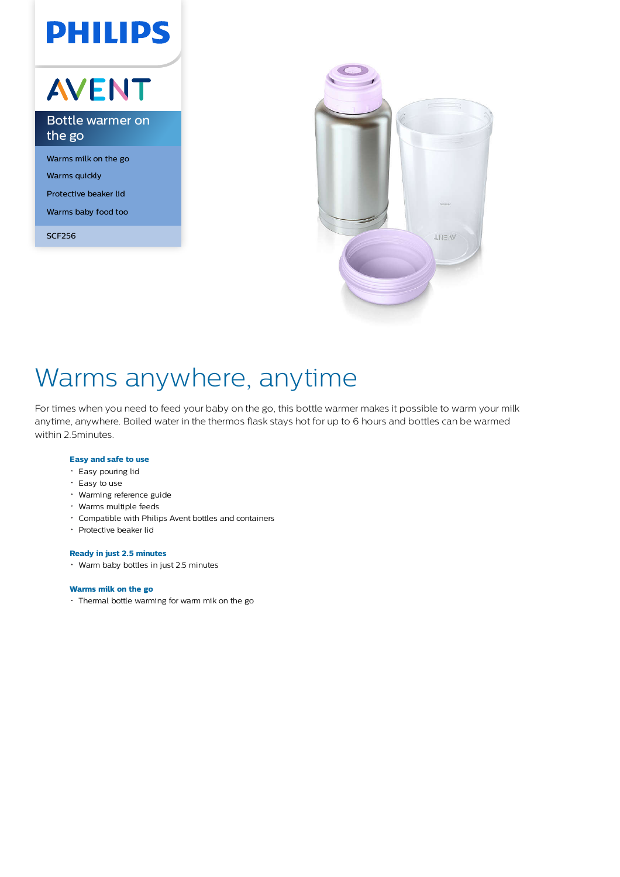# **PHILIPS**

# AVENT

Bottle warmer on the go

Warms milk on the go Warms quickly Protective beaker lid Warms baby food too

SCF256



## Warms anywhere, anytime

For times when you need to feed your baby on the go, this bottle warmer makes it possible to warm your milk anytime, anywhere. Boiled water in the thermos flask stays hot for up to 6 hours and bottles can be warmed within 2.5minutes.

### **Easy and safe to use**

- Easy pouring lid
- Easy to use
- Warming reference guide
- Warms multiple feeds
- Compatible with Philips Avent bottles and containers
- Protective beaker lid

#### **Ready in just 2.5 minutes**

Warm baby bottles in just 2.5 minutes

#### **Warms milk on the go**

Thermal bottle warming for warm mik on the go